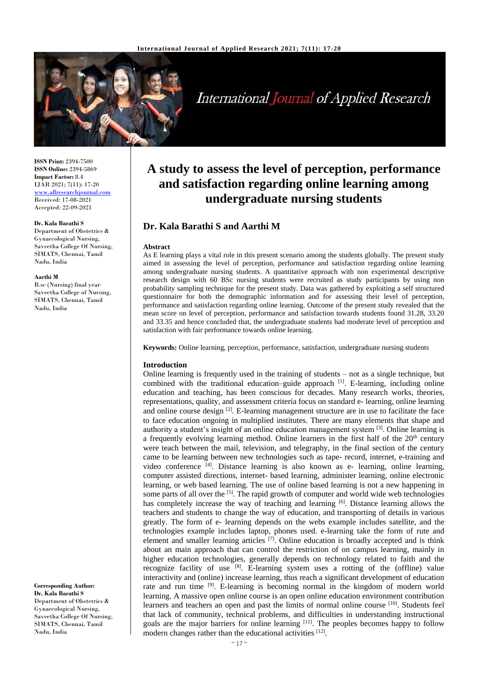

# International Journal of Applied Research

**ISSN Print:** 2394-7500 **ISSN Online:** 2394-5869 **Impact Factor:** 8.4 IJAR 2021; 7(11): 17-20 <www.allresearchjournal.com> Received: 17-08-2021 Accepted: 22-09-2021

#### **Dr. Kala Barathi S**

Department of Obstetrics & Gynaecological Nursing, Saveetha College Of Nursing, SIMATS, Chennai, Tamil Nadu, India

#### **Aarthi M**

B.sc (Nursing) final year, Saveetha College of Nursing, SIMATS, Chennai, Tamil Nadu, India

**Corresponding Author: Dr. Kala Barathi S** Department of Obstetrics & Gynaecological Nursing, Saveetha College Of Nursing, SIMATS, Chennai, Tamil Nadu, India

# **A study to assess the level of perception, performance and satisfaction regarding online learning among undergraduate nursing students**

# **Dr. Kala Barathi S and Aarthi M**

#### **Abstract**

As E learning plays a vital role in this present scenario among the students globally. The present study aimed in assessing the level of perception, performance and satisfaction regarding online learning among undergraduate nursing students. A quantitative approach with non experimental descriptive research design with 60 BSc nursing students were recruited as study participants by using non probability sampling technique for the present study. Data was gathered by exploiting a self structured questionnaire for both the demographic information and for assessing their level of perception, performance and satisfaction regarding online learning. Outcome of the present study revealed that the mean score on level of perception, performance and satisfaction towards students found 31.28, 33.20 and 33.35 and hence concluded that, the undergraduate students had moderate level of perception and satisfaction with fair performance towards online learning.

**Keywords:** Online learning, perception, performance, satisfaction, undergraduate nursing students

#### **Introduction**

Online learning is frequently used in the training of students – not as a single technique, but combined with the traditional education–guide approach  $\left[1\right]$ . E-learning, including online education and teaching, has been conscious for decades. Many research works, theories, representations, quality, and assessment criteria focus on standard e- learning, online learning and online course design  $[2]$ . E-learning management structure are in use to facilitate the face to face education ongoing in multiplied institutes. There are many elements that shape and authority a student's insight of an online education management system  $[3]$ . Online learning is a frequently evolving learning method. Online learners in the first half of the 20<sup>th</sup> century were teach between the mail, television, and telegraphy, in the final section of the century came to be learning between new technologies such as tape- record, internet, e-training and video conference [4]. Distance learning is also known as e- learning, online learning, computer assisted directions, internet- based learning, administer learning, online electronic learning, or web based learning. The use of online based learning is not a new happening in some parts of all over the <sup>[5]</sup>. The rapid growth of computer and world wide web technologies has completely increase the way of teaching and learning [6]. Distance learning allows the teachers and students to change the way of education, and transporting of details in various greatly. The form of e- learning depends on the webs example includes satellite, and the technologies example includes laptop, phones used. e-learning take the form of rute and element and smaller learning articles [7]. Online education is broadly accepted and is think about an main approach that can control the restriction of on campus learning, mainly in higher education technologies, generally depends on technology related to faith and the recognize facility of use  $[8]$ . E-learning system uses a rotting of the (offline) value interactivity and (online) increase learning, thus reach a significant development of education rate and run time [9]. E-learning is becoming normal in the kingdom of modern world learning. A massive open online course is an open online education environment contribution learners and teachers an open and past the limits of normal online course [10]. Students feel that lack of community, technical problems, and difficulties in understanding instructional goals are the major barriers for online learning [11]. The peoples becomes happy to follow modern changes rather than the educational activities [12].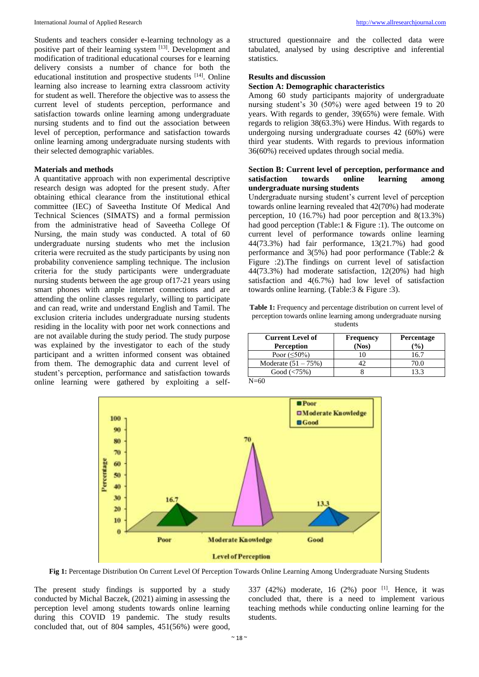Students and teachers consider e-learning technology as a positive part of their learning system [13]. Development and modification of traditional educational courses for e learning delivery consists a number of chance for both the educational institution and prospective students [14]. Online learning also increase to learning extra classroom activity for student as well. Therefore the objective was to assess the current level of students perception, performance and satisfaction towards online learning among undergraduate nursing students and to find out the association between level of perception, performance and satisfaction towards online learning among undergraduate nursing students with their selected demographic variables.

#### **Materials and methods**

A quantitative approach with non experimental descriptive research design was adopted for the present study. After obtaining ethical clearance from the institutional ethical committee (IEC) of Saveetha Institute Of Medical And Technical Sciences (SIMATS) and a formal permission from the administrative head of Saveetha College Of Nursing, the main study was conducted. A total of 60 undergraduate nursing students who met the inclusion criteria were recruited as the study participants by using non probability convenience sampling technique. The inclusion criteria for the study participants were undergraduate nursing students between the age group of17-21 years using smart phones with ample internet connections and are attending the online classes regularly, willing to participate and can read, write and understand English and Tamil. The exclusion criteria includes undergraduate nursing students residing in the locality with poor net work connections and are not available during the study period. The study purpose was explained by the investigator to each of the study participant and a written informed consent was obtained from them. The demographic data and current level of student's perception, performance and satisfaction towards online learning were gathered by exploiting a self-

structured questionnaire and the collected data were tabulated, analysed by using descriptive and inferential statistics.

#### **Results and discussion**

# **Section A: Demographic characteristics**

Among 60 study participants majority of undergraduate nursing student's 30 (50%) were aged between 19 to 20 years. With regards to gender, 39(65%) were female. With regards to religion 38(63.3%) were Hindus. With regards to undergoing nursing undergraduate courses 42 (60%) were third year students. With regards to previous information 36(60%) received updates through social media.

#### **Section B: Current level of perception, performance and satisfaction towards online learning among undergraduate nursing students**

Undergraduate nursing student's current level of perception towards online learning revealed that 42(70%) had moderate perception, 10 (16.7%) had poor perception and 8(13.3%) had good perception (Table:1 & Figure :1). The outcome on current level of performance towards online learning 44(73.3%) had fair performance, 13(21.7%) had good performance and 3(5%) had poor performance (Table:2 & Figure :2).The findings on current level of satisfaction 44(73.3%) had moderate satisfaction, 12(20%) had high satisfaction and 4(6.7%) had low level of satisfaction towards online learning. (Table:3 & Figure :3).

**Table 1:** Frequency and percentage distribution on current level of perception towards online learning among undergraduate nursing students

| <b>Current Level of</b><br><b>Perception</b> | <b>Frequency</b><br>(Nos) | Percentage<br>$\frac{1}{2}$ |
|----------------------------------------------|---------------------------|-----------------------------|
| Poor $(\leq 50\%)$                           |                           | 16.7                        |
| Moderate $(51 - 75%)$                        |                           |                             |
| Good $(< 75\%)$                              |                           |                             |





**Fig 1:** Percentage Distribution On Current Level Of Perception Towards Online Learning Among Undergraduate Nursing Students

The present study findings is supported by a study conducted by Michal Baczek, (2021) aiming in assessing the perception level among students towards online learning during this COVID 19 pandemic. The study results concluded that, out of 804 samples, 451(56%) were good,

337 (42%) moderate, 16 (2%) poor [1]. Hence, it was concluded that, there is a need to implement various teaching methods while conducting online learning for the students.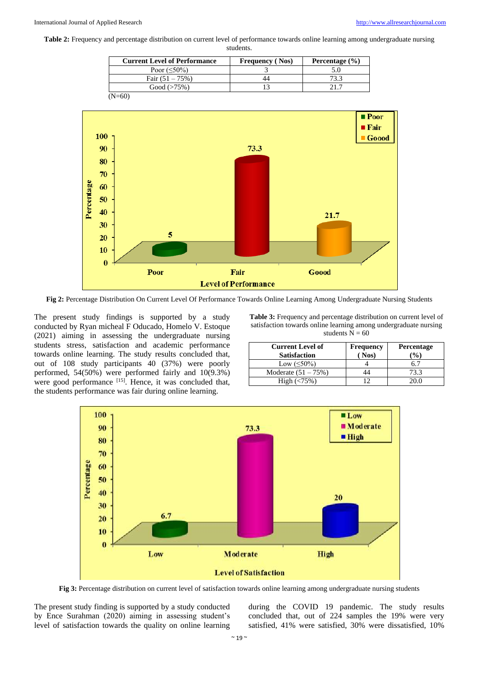**Table 2:** Frequency and percentage distribution on current level of performance towards online learning among undergraduate nursing students.

| <b>Current Level of Performance</b> | <b>Frequency</b> (Nos) | Percentage $(\% )$ |
|-------------------------------------|------------------------|--------------------|
| Poor $( \leq 50\%)$                 |                        |                    |
| Fair $(51 – 75%)$                   | 44                     | 73.3               |
| Good ( >75%)                        |                        | 21 Z               |
| $(N=60)$                            |                        |                    |



**Fig 2:** Percentage Distribution On Current Level Of Performance Towards Online Learning Among Undergraduate Nursing Students

The present study findings is supported by a study conducted by Ryan micheal F Oducado, Homelo V. Estoque (2021) aiming in assessing the undergraduate nursing students stress, satisfaction and academic performance towards online learning. The study results concluded that, out of 108 study participants 40 (37%) were poorly performed, 54(50%) were performed fairly and 10(9.3%) were good performance [15]. Hence, it was concluded that, the students performance was fair during online learning.

**Table 3:** Frequency and percentage distribution on current level of satisfaction towards online learning among undergraduate nursing students  $N = 60$ 

| <b>Current Level of</b><br><b>Satisfaction</b> | <b>Frequency</b><br>$($ Nos $)$ | <b>Percentage</b><br>$\mathcal{O}_0$ |
|------------------------------------------------|---------------------------------|--------------------------------------|
| Low $(<50\%)$                                  |                                 |                                      |
| Moderate $(51 - 75%)$                          |                                 | 73.3                                 |
| $(< 75\%)$                                     |                                 |                                      |



**Fig 3:** Percentage distribution on current level of satisfaction towards online learning among undergraduate nursing students

The present study finding is supported by a study conducted by Ence Surahman (2020) aiming in assessing student's level of satisfaction towards the quality on online learning

during the COVID 19 pandemic. The study results concluded that, out of 224 samples the 19% were very satisfied, 41% were satisfied, 30% were dissatisfied, 10%